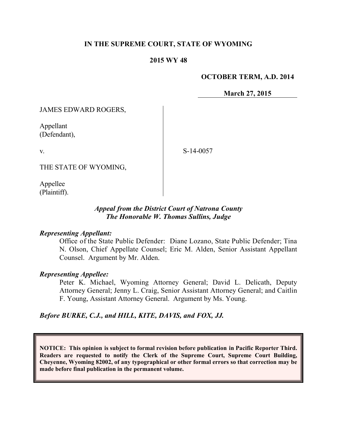## **IN THE SUPREME COURT, STATE OF WYOMING**

### **2015 WY 48**

#### **OCTOBER TERM, A.D. 2014**

**March 27, 2015**

JAMES EDWARD ROGERS,

Appellant (Defendant),

v.

S-14-0057

THE STATE OF WYOMING,

Appellee (Plaintiff).

## *Appeal from the District Court of Natrona County The Honorable W. Thomas Sullins, Judge*

#### *Representing Appellant:*

Office of the State Public Defender: Diane Lozano, State Public Defender; Tina N. Olson, Chief Appellate Counsel; Eric M. Alden, Senior Assistant Appellant Counsel. Argument by Mr. Alden.

#### *Representing Appellee:*

Peter K. Michael, Wyoming Attorney General; David L. Delicath, Deputy Attorney General; Jenny L. Craig, Senior Assistant Attorney General; and Caitlin F. Young, Assistant Attorney General. Argument by Ms. Young.

# *Before BURKE, C.J., and HILL, KITE, DAVIS, and FOX, JJ.*

**NOTICE: This opinion is subject to formal revision before publication in Pacific Reporter Third. Readers are requested to notify the Clerk of the Supreme Court, Supreme Court Building, Cheyenne, Wyoming 82002, of any typographical or other formal errors so that correction may be made before final publication in the permanent volume.**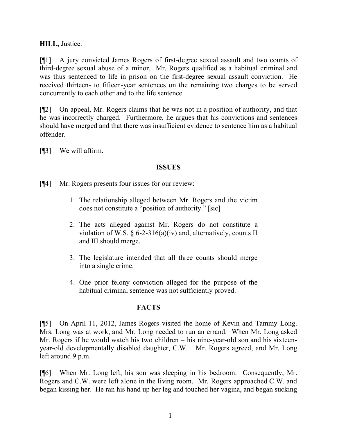**HILL,** Justice.

[¶1] A jury convicted James Rogers of first-degree sexual assault and two counts of third-degree sexual abuse of a minor. Mr. Rogers qualified as a habitual criminal and was thus sentenced to life in prison on the first-degree sexual assault conviction. He received thirteen- to fifteen-year sentences on the remaining two charges to be served concurrently to each other and to the life sentence.

[¶2] On appeal, Mr. Rogers claims that he was not in a position of authority, and that he was incorrectly charged. Furthermore, he argues that his convictions and sentences should have merged and that there was insufficient evidence to sentence him as a habitual offender.

[¶3] We will affirm.

# **ISSUES**

[¶4] Mr. Rogers presents four issues for our review:

- 1. The relationship alleged between Mr. Rogers and the victim does not constitute a "position of authority." [sic]
- 2. The acts alleged against Mr. Rogers do not constitute a violation of W.S. § 6-2-316(a)(iv) and, alternatively, counts II and III should merge.
- 3. The legislature intended that all three counts should merge into a single crime.
- 4. One prior felony conviction alleged for the purpose of the habitual criminal sentence was not sufficiently proved.

# **FACTS**

[¶5] On April 11, 2012, James Rogers visited the home of Kevin and Tammy Long. Mrs. Long was at work, and Mr. Long needed to run an errand. When Mr. Long asked Mr. Rogers if he would watch his two children – his nine-year-old son and his sixteenyear-old developmentally disabled daughter, C.W. Mr. Rogers agreed, and Mr. Long left around 9 p.m.

[¶6] When Mr. Long left, his son was sleeping in his bedroom. Consequently, Mr. Rogers and C.W. were left alone in the living room. Mr. Rogers approached C.W. and began kissing her. He ran his hand up her leg and touched her vagina, and began sucking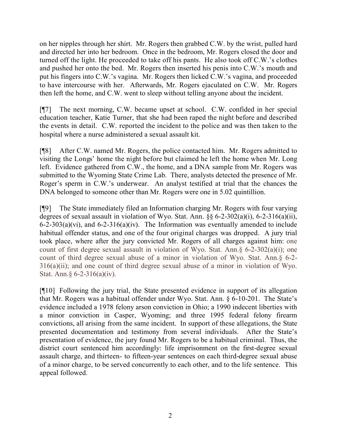on her nipples through her shirt. Mr. Rogers then grabbed C.W. by the wrist, pulled hard and directed her into her bedroom. Once in the bedroom, Mr. Rogers closed the door and turned off the light. He proceeded to take off his pants. He also took off C.W.'s clothes and pushed her onto the bed. Mr. Rogers then inserted his penis into C.W.'s mouth and put his fingers into C.W.'s vagina. Mr. Rogers then licked C.W.'s vagina, and proceeded to have intercourse with her. Afterwards, Mr. Rogers ejaculated on C.W. Mr. Rogers then left the home, and C.W. went to sleep without telling anyone about the incident.

[¶7] The next morning, C.W. became upset at school. C.W. confided in her special education teacher, Katie Turner, that she had been raped the night before and described the events in detail. C.W. reported the incident to the police and was then taken to the hospital where a nurse administered a sexual assault kit.

[¶8] After C.W. named Mr. Rogers, the police contacted him. Mr. Rogers admitted to visiting the Longs' home the night before but claimed he left the home when Mr. Long left. Evidence gathered from C.W., the home, and a DNA sample from Mr. Rogers was submitted to the Wyoming State Crime Lab. There, analysts detected the presence of Mr. Roger's sperm in C.W.'s underwear. An analyst testified at trial that the chances the DNA belonged to someone other than Mr. Rogers were one in 5.02 quintillion.

[¶9] The State immediately filed an Information charging Mr. Rogers with four varying degrees of sexual assault in violation of Wyo. Stat. Ann. §§ 6-2-302(a)(i), 6-2-316(a)(ii), 6-2-303(a)(vi), and 6-2-316(a)(iv). The Information was eventually amended to include habitual offender status, and one of the four original charges was dropped. A jury trial took place, where after the jury convicted Mr. Rogers of all charges against him: one count of first degree sexual assault in violation of Wyo. Stat. Ann.§ 6-2-302(a)(i); one count of third degree sexual abuse of a minor in violation of Wyo. Stat. Ann.§ 6-2- 316(a)(ii); and one count of third degree sexual abuse of a minor in violation of Wyo. Stat. Ann.§ 6-2-316(a)(iv).

[¶10] Following the jury trial, the State presented evidence in support of its allegation that Mr. Rogers was a habitual offender under Wyo. Stat. Ann. § 6-10-201. The State's evidence included a 1978 felony arson conviction in Ohio; a 1990 indecent liberties with a minor conviction in Casper, Wyoming; and three 1995 federal felony firearm convictions, all arising from the same incident. In support of these allegations, the State presented documentation and testimony from several individuals. After the State's presentation of evidence, the jury found Mr. Rogers to be a habitual criminal. Thus, the district court sentenced him accordingly: life imprisonment on the first-degree sexual assault charge, and thirteen- to fifteen-year sentences on each third-degree sexual abuse of a minor charge, to be served concurrently to each other, and to the life sentence. This appeal followed.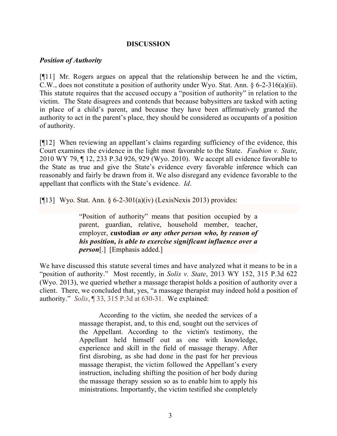## **DISCUSSION**

### *Position of Authority*

[¶11] Mr. Rogers argues on appeal that the relationship between he and the victim, C.W., does not constitute a position of authority under Wyo. Stat. Ann. § 6-2-316(a)(ii). This statute requires that the accused occupy a "position of authority" in relation to the victim. The State disagrees and contends that because babysitters are tasked with acting in place of a child's parent, and because they have been affirmatively granted the authority to act in the parent's place, they should be considered as occupants of a position of authority.

[¶12] When reviewing an appellant's claims regarding sufficiency of the evidence, this Court examines the evidence in the light most favorable to the State. *Faubion v. State*, 2010 WY 79, ¶ 12, 233 P.3d 926, 929 (Wyo. 2010). We accept all evidence favorable to the State as true and give the State's evidence every favorable inference which can reasonably and fairly be drawn from it. We also disregard any evidence favorable to the appellant that conflicts with the State's evidence. *Id*.

[ $[13]$ ] Wyo. Stat. Ann. § 6-2-301(a)(iv) (LexisNexis 2013) provides:

"Position of authority" means that position occupied by a parent, guardian, relative, household member, teacher, employer, **custodian** *or any other person who, by reason of his position, is able to exercise significant influence over a person*[.] [Emphasis added.]

We have discussed this statute several times and have analyzed what it means to be in a "position of authority." Most recently, in *Solis v. State*, 2013 WY 152, 315 P.3d 622 (Wyo. 2013), we queried whether a massage therapist holds a position of authority over a client. There, we concluded that, yes, "a massage therapist may indeed hold a position of authority." *Solis*, ¶ 33, 315 P.3d at 630-31. We explained:

> According to the victim, she needed the services of a massage therapist, and, to this end, sought out the services of the Appellant. According to the victim's testimony, the Appellant held himself out as one with knowledge, experience and skill in the field of massage therapy. After first disrobing, as she had done in the past for her previous massage therapist, the victim followed the Appellant's every instruction, including shifting the position of her body during the massage therapy session so as to enable him to apply his ministrations. Importantly, the victim testified she completely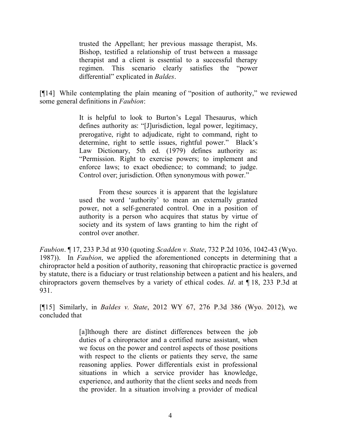trusted the Appellant; her previous massage therapist, Ms. Bishop, testified a relationship of trust between a massage therapist and a client is essential to a successful therapy regimen. This scenario clearly satisfies the "power differential" explicated in *Baldes*.

[¶14] While contemplating the plain meaning of "position of authority," we reviewed some general definitions in *Faubion*:

> It is helpful to look to Burton's Legal Thesaurus, which defines authority as: "[J]urisdiction, legal power, legitimacy, prerogative, right to adjudicate, right to command, right to determine, right to settle issues, rightful power." Black's Law Dictionary, 5th ed. (1979) defines authority as: "Permission. Right to exercise powers; to implement and enforce laws; to exact obedience; to command; to judge. Control over; jurisdiction. Often synonymous with power."

> From these sources it is apparent that the legislature used the word 'authority' to mean an externally granted power, not a self-generated control. One in a position of authority is a person who acquires that status by virtue of society and its system of laws granting to him the right of control over another.

*Faubion*. ¶ 17, 233 P.3d at 930 (quoting *Scadden v. State*, 732 P.2d 1036, 1042-43 (Wyo. 1987)). In *Faubion*, we applied the aforementioned concepts in determining that a chiropractor held a position of authority, reasoning that chiropractic practice is governed by statute, there is a fiduciary or trust relationship between a patient and his healers, and chiropractors govern themselves by a variety of ethical codes. *Id*. at ¶ 18, 233 P.3d at 931.

[¶15] Similarly, in *Baldes v. State*, 2012 WY 67, 276 P.3d 386 (Wyo. 2012), we concluded that

> [a]lthough there are distinct differences between the job duties of a chiropractor and a certified nurse assistant, when we focus on the power and control aspects of those positions with respect to the clients or patients they serve, the same reasoning applies. Power differentials exist in professional situations in which a service provider has knowledge, experience, and authority that the client seeks and needs from the provider. In a situation involving a provider of medical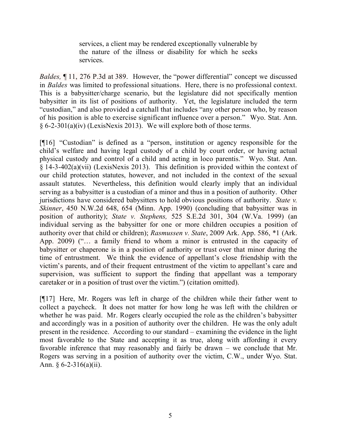services, a client may be rendered exceptionally vulnerable by the nature of the illness or disability for which he seeks services.

*Baldes,* ¶ 11, 276 P.3d at 389. However, the "power differential" concept we discussed in *Baldes* was limited to professional situations. Here, there is no professional context. This is a babysitter/charge scenario, but the legislature did not specifically mention babysitter in its list of positions of authority. Yet, the legislature included the term "custodian," and also provided a catchall that includes "any other person who, by reason of his position is able to exercise significant influence over a person." Wyo. Stat. Ann. § 6-2-301(a)(iv) (LexisNexis 2013). We will explore both of those terms.

[¶16] "Custodian" is defined as a "person, institution or agency responsible for the child's welfare and having legal custody of a child by court order, or having actual physical custody and control of a child and acting in loco parentis." Wyo. Stat. Ann. § 14-3-402(a)(vii) (LexisNexis 2013). This definition is provided within the context of our child protection statutes, however, and not included in the context of the sexual assault statutes. Nevertheless, this definition would clearly imply that an individual serving as a babysitter is a custodian of a minor and thus in a position of authority. Other jurisdictions have considered babysitters to hold obvious positions of authority. *State v. Skinner*, 450 N.W.2d 648, 654 (Minn. App. 1990) (concluding that babysitter was in position of authority); *State v. Stephens,* 525 S.E.2d 301, 304 (W.Va. 1999) (an individual serving as the babysitter for one or more children occupies a position of authority over that child or children); *Rasmussen v. State*, 2009 Ark. App. 586, \*1 (Ark. App. 2009) ("… a family friend to whom a minor is entrusted in the capacity of babysitter or chaperone is in a position of authority or trust over that minor during the time of entrustment. We think the evidence of appellant's close friendship with the victim's parents, and of their frequent entrustment of the victim to appellant's care and supervision, was sufficient to support the finding that appellant was a temporary caretaker or in a position of trust over the victim.") (citation omitted).

[¶17] Here, Mr. Rogers was left in charge of the children while their father went to collect a paycheck. It does not matter for how long he was left with the children or whether he was paid. Mr. Rogers clearly occupied the role as the children's babysitter and accordingly was in a position of authority over the children. He was the only adult present in the residence. According to our standard – examining the evidence in the light most favorable to the State and accepting it as true, along with affording it every favorable inference that may reasonably and fairly be drawn – we conclude that Mr. Rogers was serving in a position of authority over the victim, C.W., under Wyo. Stat. Ann.  $\frac{6}{2}$ -316(a)(ii).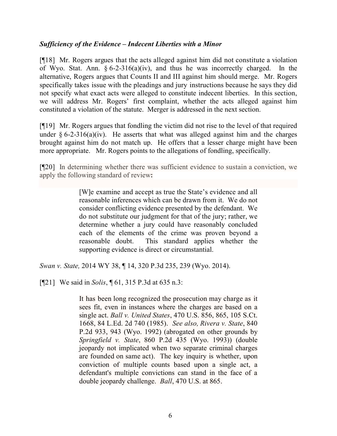## *Sufficiency of the Evidence – Indecent Liberties with a Minor*

[¶18] Mr. Rogers argues that the acts alleged against him did not constitute a violation of Wyo. Stat. Ann. § 6-2-316(a)(iv), and thus he was incorrectly charged. In the alternative, Rogers argues that Counts II and III against him should merge. Mr. Rogers specifically takes issue with the pleadings and jury instructions because he says they did not specify what exact acts were alleged to constitute indecent liberties. In this section, we will address Mr. Rogers' first complaint, whether the acts alleged against him constituted a violation of the statute. Merger is addressed in the next section.

[¶19] Mr. Rogers argues that fondling the victim did not rise to the level of that required under  $\S 6$ -2-316(a)(iv). He asserts that what was alleged against him and the charges brought against him do not match up. He offers that a lesser charge might have been more appropriate. Mr. Rogers points to the allegations of fondling, specifically.

[¶20] In determining whether there was sufficient evidence to sustain a conviction, we apply the following standard of review**:**

> [W]e examine and accept as true the State's evidence and all reasonable inferences which can be drawn from it. We do not consider conflicting evidence presented by the defendant. We do not substitute our judgment for that of the jury; rather, we determine whether a jury could have reasonably concluded each of the elements of the crime was proven beyond a reasonable doubt. This standard applies whether the supporting evidence is direct or circumstantial.

*Swan v. State,* 2014 WY 38, ¶ 14, 320 P.3d 235, 239 (Wyo. 2014).

[¶21] We said in *Solis*, ¶ 61, 315 P.3d at 635 n.3:

It has been long recognized the prosecution may charge as it sees fit, even in instances where the charges are based on a single act. *Ball v. United States*, 470 U.S. 856, 865, 105 S.Ct. 1668, 84 L.Ed. 2d 740 (1985). *See also, Rivera v. State*, 840 P.2d 933, 943 (Wyo. 1992) (abrogated on other grounds by *Springfield v. State*, 860 P.2d 435 (Wyo. 1993)) (double jeopardy not implicated when two separate criminal charges are founded on same act). The key inquiry is whether, upon conviction of multiple counts based upon a single act, a defendant's multiple convictions can stand in the face of a double jeopardy challenge. *Ball*, 470 U.S. at 865.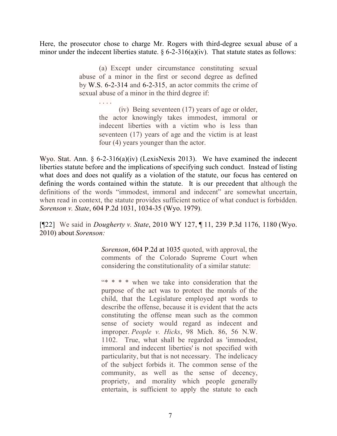Here, the prosecutor chose to charge Mr. Rogers with third-degree sexual abuse of a minor under the indecent liberties statute.  $\frac{6}{5}$  6-2-316(a)(iv). That statute states as follows:

> (a) Except under circumstance constituting sexual abuse of a minor in the first or second degree as defined by W.S. 6-2-314 and 6-2-315, an actor commits the crime of sexual abuse of a minor in the third degree if:

> > . . . .

(iv) Being seventeen (17) years of age or older, the actor knowingly takes immodest, immoral or indecent liberties with a victim who is less than seventeen (17) years of age and the victim is at least four (4) years younger than the actor.

Wyo. Stat. Ann. § 6-2-316(a)(iv) (LexisNexis 2013). We have examined the indecent liberties statute before and the implications of specifying such conduct. Instead of listing what does and does not qualify as a violation of the statute, our focus has centered on defining the words contained within the statute. It is our precedent that although the definitions of the words "immodest, immoral and indecent" are somewhat uncertain, when read in context, the statute provides sufficient notice of what conduct is forbidden. *Sorenson v. State*, 604 P.2d 1031, 1034-35 (Wyo. 1979).

[¶22] We said in *Dougherty v. State*, 2010 WY 127, ¶ 11, 239 P.3d 1176, 1180 (Wyo. 2010) about *Sorenson:*

> *Sorenson*, 604 P.2d at 1035 quoted, with approval, the comments of the Colorado Supreme Court when considering the constitutionality of a similar statute:

> "\* \* \* \* when we take into consideration that the purpose of the act was to protect the morals of the child, that the Legislature employed apt words to describe the offense, because it is evident that the acts constituting the offense mean such as the common sense of society would regard as indecent and improper. *People v. Hicks*, 98 Mich. 86, 56 N.W. 1102. True, what shall be regarded as 'immodest, immoral and indecent liberties' is not specified with particularity, but that is not necessary. The indelicacy of the subject forbids it. The common sense of the community, as well as the sense of decency, propriety, and morality which people generally entertain, is sufficient to apply the statute to each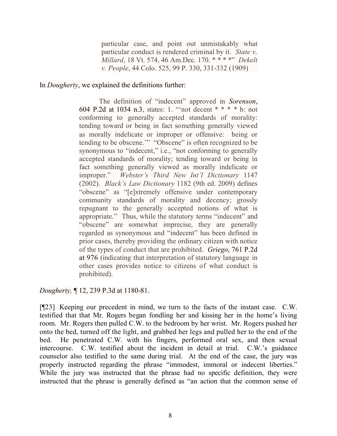particular case, and point out unmistakably what particular conduct is rendered criminal by it. *State v. Millard*, 18 Vt. 574, 46 Am.Dec. 170. \* \* \* \*" *Dekelt v. People*, 44 Colo. 525, 99 P. 330, 331-332 (1909)

In *Dougherty*, we explained the definitions further:

The definition of "indecent" approved in *Sorenson*, 604 P.2d at 1034 n.3, states: 1. "'not decent \* \* \* \* b: not conforming to generally accepted standards of morality: tending toward or being in fact something generally viewed as morally indelicate or improper or offensive: being or tending to be obscene.'" "Obscene" is often recognized to be synonymous to "indecent," i.e., "not conforming to generally accepted standards of morality; tending toward or being in fact something generally viewed as morally indelicate or improper." *Webster's Third New Int'l Dictionary* 1147 (2002). *Black's Law Dictionary* 1182 (9th ed. 2009) defines "obscene" as "[e]xtremely offensive under contemporary community standards of morality and decency; grossly repugnant to the generally accepted notions of what is appropriate." Thus, while the statutory terms "indecent" and "obscene" are somewhat imprecise, they are generally regarded as synonymous and "indecent" has been defined in prior cases, thereby providing the ordinary citizen with notice of the types of conduct that are prohibited. *Griego*, 761 P.2d at 976 (indicating that interpretation of statutory language in other cases provides notice to citizens of what conduct is prohibited).

*Dougherty,* ¶ 12, 239 P.3d at 1180-81.

[¶23] Keeping our precedent in mind, we turn to the facts of the instant case. C.W. testified that that Mr. Rogers began fondling her and kissing her in the home's living room. Mr. Rogers then pulled C.W. to the bedroom by her wrist. Mr. Rogers pushed her onto the bed, turned off the light, and grabbed her legs and pulled her to the end of the bed. He penetrated C.W. with his fingers, performed oral sex, and then sexual intercourse. C.W. testified about the incident in detail at trial. C.W.'s guidance counselor also testified to the same during trial. At the end of the case, the jury was properly instructed regarding the phrase "immodest, immoral or indecent liberties." While the jury was instructed that the phrase had no specific definition, they were instructed that the phrase is generally defined as "an action that the common sense of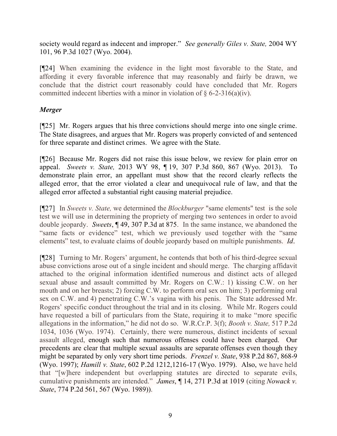society would regard as indecent and improper." *See generally Giles v. State,* 2004 WY 101, 96 P.3d 1027 (Wyo. 2004).

[¶24] When examining the evidence in the light most favorable to the State, and affording it every favorable inference that may reasonably and fairly be drawn, we conclude that the district court reasonably could have concluded that Mr. Rogers committed indecent liberties with a minor in violation of  $\S 6$ -2-316(a)(iv).

# *Merger*

[¶25] Mr. Rogers argues that his three convictions should merge into one single crime. The State disagrees, and argues that Mr. Rogers was properly convicted of and sentenced for three separate and distinct crimes. We agree with the State.

[¶26] Because Mr. Rogers did not raise this issue below, we review for plain error on appeal. *Sweets v. State,* 2013 WY 98, ¶ 19, 307 P.3d 860, 867 (Wyo. 2013). To demonstrate plain error, an appellant must show that the record clearly reflects the alleged error, that the error violated a clear and unequivocal rule of law, and that the alleged error affected a substantial right causing material prejudice.

[¶27] In *Sweets v. State,* we determined the *Blockburger* "same elements" test is the sole test we will use in determining the propriety of merging two sentences in order to avoid double jeopardy. *Sweets*, ¶ 49, 307 P.3d at 875. In the same instance, we abandoned the "same facts or evidence" test, which we previously used together with the "same elements" test, to evaluate claims of double jeopardy based on multiple punishments. *Id*.

[¶28] Turning to Mr. Rogers' argument, he contends that both of his third-degree sexual abuse convictions arose out of a single incident and should merge. The charging affidavit attached to the original information identified numerous and distinct acts of alleged sexual abuse and assault committed by Mr. Rogers on C.W.: 1) kissing C.W. on her mouth and on her breasts; 2) forcing C.W. to perform oral sex on him; 3) performing oral sex on C.W. and 4) penetrating C.W.'s vagina with his penis. The State addressed Mr. Rogers' specific conduct throughout the trial and in its closing. While Mr. Rogers could have requested a bill of particulars from the State, requiring it to make "more specific allegations in the information," he did not do so. W.R.Cr.P. 3(f); *Booth v. State,* 517 P.2d 1034, 1036 (Wyo. 1974). Certainly, there were numerous, distinct incidents of sexual assault alleged, enough such that numerous offenses could have been charged. Our precedents are clear that multiple sexual assaults are separate offenses even though they might be separated by only very short time periods. *Frenzel v. State*, 938 P.2d 867, 868-9 (Wyo. 1997); *Hamill v. State*, 602 P.2d 1212,1216-17 (Wyo. 1979). Also, we have held that "[w]here independent but overlapping statutes are directed to separate evils, cumulative punishments are intended." *James*, ¶ 14, 271 P.3d at 1019 (citing *Nowack v. State*, 774 P.2d 561, 567 (Wyo. 1989)).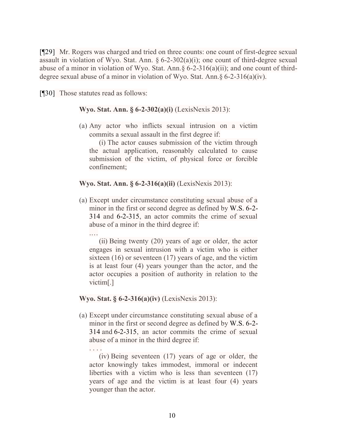[¶29] Mr. Rogers was charged and tried on three counts: one count of first-degree sexual assault in violation of Wyo. Stat. Ann.  $\S 6$ -2-302(a)(i); one count of third-degree sexual abuse of a minor in violation of Wyo. Stat. Ann.§ 6-2-316(a)(ii); and one count of thirddegree sexual abuse of a minor in violation of Wyo. Stat. Ann.  $6-2-316(a)(iv)$ .

[¶30] Those statutes read as follows:

.…

. . . .

**Wyo. Stat. Ann. § 6-2-302(a)(i)** (LexisNexis 2013):

(a) Any actor who inflicts sexual intrusion on a victim commits a sexual assault in the first degree if:

(i) The actor causes submission of the victim through the actual application, reasonably calculated to cause submission of the victim, of physical force or forcible confinement;

#### **Wyo. Stat. Ann. § 6-2-316(a)(ii)** (LexisNexis 2013):

(a) Except under circumstance constituting sexual abuse of a minor in the first or second degree as defined by W.S. 6-2- 314 and 6-2-315, an actor commits the crime of sexual abuse of a minor in the third degree if:

(ii) Being twenty (20) years of age or older, the actor engages in sexual intrusion with a victim who is either sixteen (16) or seventeen (17) years of age, and the victim is at least four (4) years younger than the actor, and the actor occupies a position of authority in relation to the victim[.]

#### **Wyo. Stat. § 6-2-316(a)(iv)** (LexisNexis 2013):

(a) Except under circumstance constituting sexual abuse of a minor in the first or second degree as defined by W.S. 6-2- 314 and 6-2-315, an actor commits the crime of sexual abuse of a minor in the third degree if:

(iv) Being seventeen (17) years of age or older, the actor knowingly takes immodest, immoral or indecent liberties with a victim who is less than seventeen (17) years of age and the victim is at least four (4) years younger than the actor.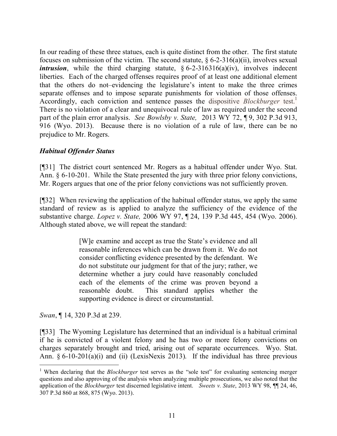In our reading of these three statues, each is quite distinct from the other. The first statute focuses on submission of the victim. The second statute,  $\S 6$ -2-316(a)(ii), involves sexual *intrusion*, while the third charging statute,  $§ 6-2-316316(a)(iv)$ , involves indecent liberties. Each of the charged offenses requires proof of at least one additional element that the others do not–evidencing the legislature's intent to make the three crimes separate offenses and to impose separate punishments for violation of those offenses. Accordingly, each conviction and sentence passes the dispositive *Blockburger* test.<sup>1</sup> There is no violation of a clear and unequivocal rule of law as required under the second part of the plain error analysis. *See Bowlsby v. State,* 2013 WY 72, ¶ 9, 302 P.3d 913, 916 (Wyo. 2013). Because there is no violation of a rule of law, there can be no prejudice to Mr. Rogers.

# *Habitual Offender Status*

[¶31] The district court sentenced Mr. Rogers as a habitual offender under Wyo. Stat. Ann. § 6-10-201. While the State presented the jury with three prior felony convictions, Mr. Rogers argues that one of the prior felony convictions was not sufficiently proven.

[¶32] When reviewing the application of the habitual offender status, we apply the same standard of review as is applied to analyze the sufficiency of the evidence of the substantive charge. *Lopez v. State,* 2006 WY 97, ¶ 24, 139 P.3d 445, 454 (Wyo. 2006). Although stated above, we will repeat the standard:

> [W]e examine and accept as true the State's evidence and all reasonable inferences which can be drawn from it. We do not consider conflicting evidence presented by the defendant. We do not substitute our judgment for that of the jury; rather, we determine whether a jury could have reasonably concluded each of the elements of the crime was proven beyond a reasonable doubt. This standard applies whether the supporting evidence is direct or circumstantial.

*Swan*, ¶ 14, 320 P.3d at 239.

 $\overline{a}$ 

[¶33] The Wyoming Legislature has determined that an individual is a habitual criminal if he is convicted of a violent felony and he has two or more felony convictions on charges separately brought and tried, arising out of separate occurrences. Wyo. Stat. Ann.  $\S 6-10-201(a)(i)$  and (ii) (LexisNexis 2013). If the individual has three previous

<sup>&</sup>lt;sup>1</sup> When declaring that the *Blockburger* test serves as the "sole test" for evaluating sentencing merger questions and also approving of the analysis when analyzing multiple prosecutions, we also noted that the application of the *Blockburger* test discerned legislative intent. *Sweets v. State*, 2013 WY 98, ¶¶ 24, 46, 307 P.3d 860 at 868, 875 (Wyo. 2013).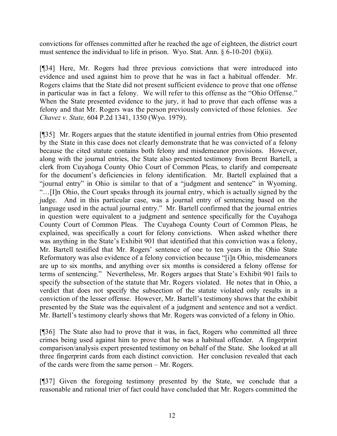convictions for offenses committed after he reached the age of eighteen, the district court must sentence the individual to life in prison. Wyo. Stat. Ann. § 6-10-201 (b)(ii).

[¶34] Here, Mr. Rogers had three previous convictions that were introduced into evidence and used against him to prove that he was in fact a habitual offender. Mr. Rogers claims that the State did not present sufficient evidence to prove that one offense in particular was in fact a felony. We will refer to this offense as the "Ohio Offense." When the State presented evidence to the jury, it had to prove that each offense was a felony and that Mr. Rogers was the person previously convicted of those felonies. *See Chavez v. State,* 604 P.2d 1341, 1350 (Wyo. 1979).

[¶35] Mr. Rogers argues that the statute identified in journal entries from Ohio presented by the State in this case does not clearly demonstrate that he was convicted of a felony because the cited statute contains both felony and misdemeanor provisions. However, along with the journal entries, the State also presented testimony from Brent Bartell, a clerk from Cuyahoga County Ohio Court of Common Pleas, to clarify and compensate for the document's deficiencies in felony identification. Mr. Bartell explained that a "journal entry" in Ohio is similar to that of a "judgment and sentence" in Wyoming. "…[I]n Ohio, the Court speaks through its journal entry, which is actually signed by the judge. And in this particular case, was a journal entry of sentencing based on the language used in the actual journal entry." Mr. Bartell confirmed that the journal entries in question were equivalent to a judgment and sentence specifically for the Cuyahoga County Court of Common Pleas. The Cuyahoga County Court of Common Pleas, he explained, was specifically a court for felony convictions. When asked whether there was anything in the State's Exhibit 901 that identified that this conviction was a felony, Mr. Bartell testified that Mr. Rogers' sentence of one to ten years in the Ohio State Reformatory was also evidence of a felony conviction because "[i]n Ohio, misdemeanors are up to six months, and anything over six months is considered a felony offense for terms of sentencing." Nevertheless, Mr. Rogers argues that State's Exhibit 901 fails to specify the subsection of the statute that Mr. Rogers violated. He notes that in Ohio, a verdict that does not specify the subsection of the statute violated only results in a conviction of the lesser offense. However, Mr. Bartell's testimony shows that the exhibit presented by the State was the equivalent of a judgment and sentence and not a verdict. Mr. Bartell's testimony clearly shows that Mr. Rogers was convicted of a felony in Ohio.

[¶36] The State also had to prove that it was, in fact, Rogers who committed all three crimes being used against him to prove that he was a habitual offender. A fingerprint comparison/analysis expert presented testimony on behalf of the State. She looked at all three fingerprint cards from each distinct conviction. Her conclusion revealed that each of the cards were from the same person – Mr. Rogers.

[¶37] Given the foregoing testimony presented by the State, we conclude that a reasonable and rational trier of fact could have concluded that Mr. Rogers committed the